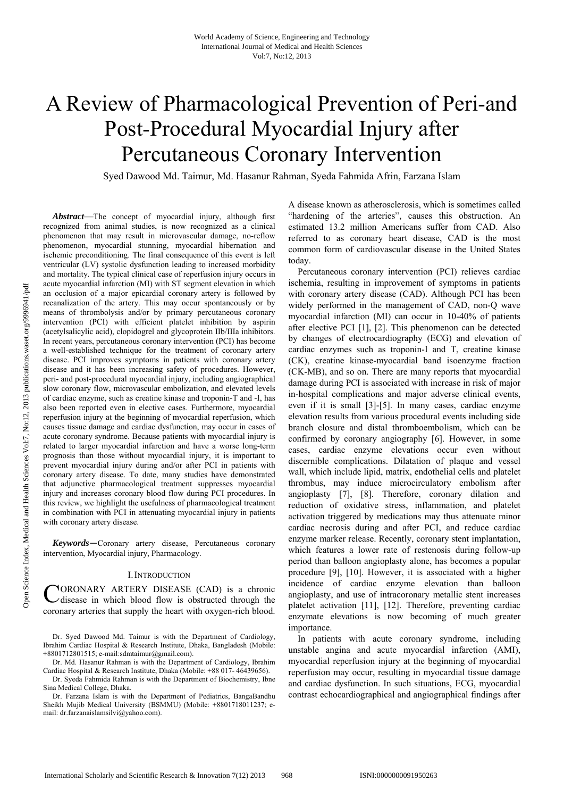# A Review of Pharmacological Prevention of Peri-and Post-Procedural Myocardial Injury after Percutaneous Coronary Intervention

Syed Dawood Md. Taimur, Md. Hasanur Rahman, Syeda Fahmida Afrin, Farzana Islam

*Abstract*—The concept of myocardial injury, although first recognized from animal studies, is now recognized as a clinical phenomenon that may result in microvascular damage, no-reflow phenomenon, myocardial stunning, myocardial hibernation and ischemic preconditioning. The final consequence of this event is left ventricular (LV) systolic dysfunction leading to increased morbidity and mortality. The typical clinical case of reperfusion injury occurs in acute myocardial infarction (MI) with ST segment elevation in which an occlusion of a major epicardial coronary artery is followed by recanalization of the artery. This may occur spontaneously or by means of thrombolysis and/or by primary percutaneous coronary intervention (PCI) with efficient platelet inhibition by aspirin (acetylsalicylic acid), clopidogrel and glycoprotein IIb/IIIa inhibitors. In recent years, percutaneous coronary intervention (PCI) has become a well-established technique for the treatment of coronary artery disease. PCI improves symptoms in patients with coronary artery disease and it has been increasing safety of procedures. However, peri- and post-procedural myocardial injury, including angiographical slow coronary flow, microvascular embolization, and elevated levels of cardiac enzyme, such as creatine kinase and troponin-T and -I, has also been reported even in elective cases. Furthermore, myocardial reperfusion injury at the beginning of myocardial reperfusion, which causes tissue damage and cardiac dysfunction, may occur in cases of acute coronary syndrome. Because patients with myocardial injury is related to larger myocardial infarction and have a worse long-term prognosis than those without myocardial injury, it is important to prevent myocardial injury during and/or after PCI in patients with coronary artery disease. To date, many studies have demonstrated that adjunctive pharmacological treatment suppresses myocardial injury and increases coronary blood flow during PCI procedures. In this review, we highlight the usefulness of pharmacological treatment in combination with PCI in attenuating myocardial injury in patients with coronary artery disease.

*Keywords*—Coronary artery disease, Percutaneous coronary intervention, Myocardial injury, Pharmacology.

## I.INTRODUCTION

CORONARY ARTERY DISEASE (CAD) is a chronic<br>
disease in which blood flow is obstructed through the disease in which blood flow is obstructed through the coronary arteries that supply the heart with oxygen-rich blood.

Dr. Syed Dawood Md. Taimur is with the Department of Cardiology, Ibrahim Cardiac Hospital & Research Institute, Dhaka, Bangladesh (Mobile: +8801712801515; e-mail:sdmtaimur@gmail.com).

Dr. Md. Hasanur Rahman is with the Department of Cardiology, Ibrahim Cardiac Hospital & Research Institute, Dhaka (Mobile: +88 017- 46439656).

Dr. Syeda Fahmida Rahman is with the Department of Biochemistry, Ibne Sina Medical College, Dhaka.

Dr. Farzana Islam is with the Department of Pediatrics, BangaBandhu Sheikh Mujib Medical University (BSMMU) (Mobile: +8801718011237; email: dr.farzanaislamsilvi@yahoo.com).

A disease known as atherosclerosis, which is sometimes called "hardening of the arteries", causes this obstruction. An estimated 13.2 million Americans suffer from CAD. Also referred to as coronary heart disease, CAD is the most common form of cardiovascular disease in the United States today.

Percutaneous coronary intervention (PCI) relieves cardiac ischemia, resulting in improvement of symptoms in patients with coronary artery disease (CAD). Although PCI has been widely performed in the management of CAD, non-Q wave myocardial infarction (MI) can occur in 10-40% of patients after elective PCI [1], [2]. This phenomenon can be detected by changes of electrocardiography (ECG) and elevation of cardiac enzymes such as troponin-I and T, creatine kinase (CK), creatine kinase-myocardial band isoenzyme fraction (CK-MB), and so on. There are many reports that myocardial damage during PCI is associated with increase in risk of major in-hospital complications and major adverse clinical events, even if it is small [3]-[5]. In many cases, cardiac enzyme elevation results from various procedural events including side branch closure and distal thromboembolism, which can be confirmed by coronary angiography [6]. However, in some cases, cardiac enzyme elevations occur even without discernible complications. Dilatation of plaque and vessel wall, which include lipid, matrix, endothelial cells and platelet thrombus, may induce microcirculatory embolism after angioplasty [7], [8]. Therefore, coronary dilation and reduction of oxidative stress, inflammation, and platelet activation triggered by medications may thus attenuate minor cardiac necrosis during and after PCI, and reduce cardiac enzyme marker release. Recently, coronary stent implantation, which features a lower rate of restenosis during follow-up period than balloon angioplasty alone, has becomes a popular procedure [9], [10]. However, it is associated with a higher incidence of cardiac enzyme elevation than balloon angioplasty, and use of intracoronary metallic stent increases platelet activation [11], [12]. Therefore, preventing cardiac enzymate elevations is now becoming of much greater importance.

In patients with acute coronary syndrome, including unstable angina and acute myocardial infarction (AMI), myocardial reperfusion injury at the beginning of myocardial reperfusion may occur, resulting in myocardial tissue damage and cardiac dysfunction. In such situations, ECG, myocardial contrast echocardiographical and angiographical findings after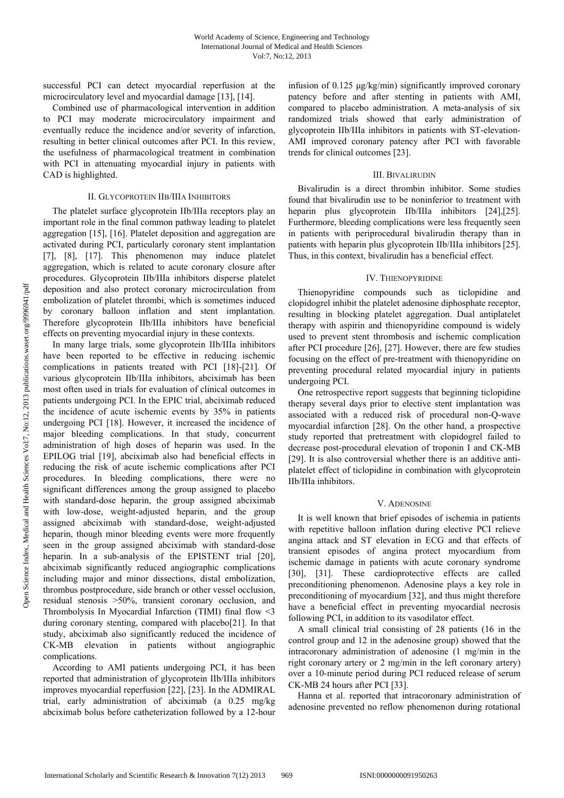successful PCI can detect myocardial reperfusion at the microcirculatory level and myocardial damage [13], [14].

Combined use of pharmacological intervention in addition to PCI may moderate microcirculatory impairment and eventually reduce the incidence and/or severity of infarction, resulting in better clinical outcomes after PCI. In this review, the usefulness of pharmacological treatment in combination with PCI in attenuating myocardial injury in patients with CAD is highlighted.

## II. GLYCOPROTEIN IIB/IIIA INHIBITORS

The platelet surface glycoprotein IIb/IIIa receptors play an important role in the final common pathway leading to platelet aggregation [15], [16]. Platelet deposition and aggregation are activated during PCI, particularly coronary stent implantation [7], [8], [17]. This phenomenon may induce platelet aggregation, which is related to acute coronary closure after procedures. Glycoprotein IIb/IIIa inhibitors disperse platelet deposition and also protect coronary microcirculation from embolization of platelet thrombi, which is sometimes induced by coronary balloon inflation and stent implantation. Therefore glycoprotein IIb/IIIa inhibitors have beneficial effects on preventing myocardial injury in these contexts.

In many large trials, some glycoprotein IIb/IIIa inhibitors have been reported to be effective in reducing ischemic complications in patients treated with PCI [18]-[21]. Of various glycoprotein IIb/IIIa inhibitors, abciximab has been most often used in trials for evaluation of clinical outcomes in patients undergoing PCI. In the EPIC trial, abciximab reduced the incidence of acute ischemic events by 35% in patients undergoing PCI [18]. However, it increased the incidence of major bleeding complications. In that study, concurrent administration of high doses of heparin was used. In the EPILOG trial [19], abciximab also had beneficial effects in reducing the risk of acute ischemic complications after PCI procedures. In bleeding complications, there were no significant differences among the group assigned to placebo with standard-dose heparin, the group assigned abciximab with low-dose, weight-adjusted heparin, and the group assigned abciximab with standard-dose, weight-adjusted heparin, though minor bleeding events were more frequently seen in the group assigned abciximab with standard-dose heparin. In a sub-analysis of the EPISTENT trial [20], abciximab significantly reduced angiographic complications including major and minor dissections, distal embolization, thrombus postprocedure, side branch or other vessel occlusion, residual stenosis >50%, transient coronary occlusion, and Thrombolysis In Myocardial Infarction (TIMI) final flow <3 during coronary stenting, compared with placebo[21]. In that study, abciximab also significantly reduced the incidence of CK-MB elevation in patients without angiographic complications.

According to AMI patients undergoing PCI, it has been reported that administration of glycoprotein IIb/IIIa inhibitors improves myocardial reperfusion [22], [23]. In the ADMIRAL trial, early administration of abciximab (a 0.25 mg/kg abciximab bolus before catheterization followed by a 12-hour infusion of 0.125 μg/kg/min) significantly improved coronary patency before and after stenting in patients with AMI, compared to placebo administration. A meta-analysis of six randomized trials showed that early administration of glycoprotein IIb/IIIa inhibitors in patients with ST-elevation-AMI improved coronary patency after PCI with favorable trends for clinical outcomes [23].

## III. BIVALIRUDIN

Bivalirudin is a direct thrombin inhibitor. Some studies found that bivalirudin use to be noninferior to treatment with heparin plus glycoprotein IIb/IIIa inhibitors [24],[25]. Furthermore, bleeding complications were less frequently seen in patients with periprocedural bivalirudin therapy than in patients with heparin plus glycoprotein IIb/IIIa inhibitors [25]. Thus, in this context, bivalirudin has a beneficial effect.

## IV. THIENOPYRIDINE

Thienopyridine compounds such as ticlopidine and clopidogrel inhibit the platelet adenosine diphosphate receptor, resulting in blocking platelet aggregation. Dual antiplatelet therapy with aspirin and thienopyridine compound is widely used to prevent stent thrombosis and ischemic complication after PCI procedure [26], [27]. However, there are few studies focusing on the effect of pre-treatment with thienopyridine on preventing procedural related myocardial injury in patients undergoing PCI.

One retrospective report suggests that beginning ticlopidine therapy several days prior to elective stent implantation was associated with a reduced risk of procedural non-Q-wave myocardial infarction [28]. On the other hand, a prospective study reported that pretreatment with clopidogrel failed to decrease post-procedural elevation of troponin I and CK-MB [29]. It is also controversial whether there is an additive antiplatelet effect of ticlopidine in combination with glycoprotein IIb/IIIa inhibitors.

## V. ADENOSINE

It is well known that brief episodes of ischemia in patients with repetitive balloon inflation during elective PCI relieve angina attack and ST elevation in ECG and that effects of transient episodes of angina protect myocardium from ischemic damage in patients with acute coronary syndrome [30], [31]. These cardioprotective effects are called preconditioning phenomenon. Adenosine plays a key role in preconditioning of myocardium [32], and thus might therefore have a beneficial effect in preventing myocardial necrosis following PCI, in addition to its vasodilator effect.

A small clinical trial consisting of 28 patients (16 in the control group and 12 in the adenosine group) showed that the intracoronary administration of adenosine (1 mg/min in the right coronary artery or 2 mg/min in the left coronary artery) over a 10-minute period during PCI reduced release of serum CK-MB 24 hours after PCI [33].

Hanna et al. reported that intracoronary administration of adenosine prevented no reflow phenomenon during rotational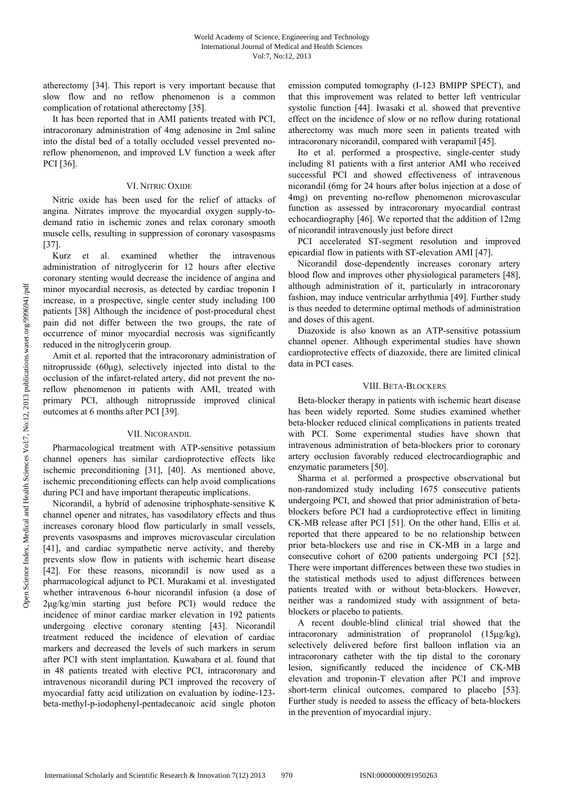atherectomy [34]. This report is very important because that slow flow and no reflow phenomenon is a common complication of rotational atherectomy [35].

It has been reported that in AMI patients treated with PCI, intracoronary administration of 4mg adenosine in 2ml saline into the distal bed of a totally occluded vessel prevented noreflow phenomenon, and improved LV function a week after PCI [36].

## VI. NITRIC OXIDE

Nitric oxide has been used for the relief of attacks of angina. Nitrates improve the myocardial oxygen supply-todemand ratio in ischemic zones and relax coronary smooth muscle cells, resulting in suppression of coronary vasospasms [37].

Kurz et al. examined whether the intravenous administration of nitroglycerin for 12 hours after elective coronary stenting would decrease the incidence of angina and minor myocardial necrosis, as detected by cardiac troponin I increase, in a prospective, single center study including 100 patients [38] Although the incidence of post-procedural chest pain did not differ between the two groups, the rate of occurrence of minor myocardial necrosis was significantly reduced in the nitroglycerin group.

Amit et al. reported that the intracoronary administration of nitroprusside (60μg), selectively injected into distal to the occlusion of the infarct-related artery, did not prevent the noreflow phenomenon in patients with AMI, treated with primary PCI, although nitroprusside improved clinical outcomes at 6 months after PCI [39].

## VII. NICORANDIL

Pharmacological treatment with ATP-sensitive potassium channel openers has similar cardioprotective effects like ischemic preconditioning [31], [40]. As mentioned above, ischemic preconditioning effects can help avoid complications during PCI and have important therapeutic implications.

Nicorandil, a hybrid of adenosine triphosphate-sensitive K channel opener and nitrates, has vasodilatory effects and thus increases coronary blood flow particularly in small vessels, prevents vasospasms and improves microvascular circulation [41], and cardiac sympathetic nerve activity, and thereby prevents slow flow in patients with ischemic heart disease [42]. For these reasons, nicorandil is now used as a pharmacological adjunct to PCI. Murakami et al. investigated whether intravenous 6-hour nicorandil infusion (a dose of  $2\mu$ g/kg/min starting just before PCI) would reduce the incidence of minor cardiac marker elevation in 192 patients undergoing elective coronary stenting [43]. Nicorandil treatment reduced the incidence of elevation of cardiac markers and decreased the levels of such markers in serum after PCI with stent implantation. Kuwabara et al. found that in 48 patients treated with elective PCI, intracoronary and intravenous nicorandil during PCI improved the recovery of myocardial fatty acid utilization on evaluation by iodine-123 beta-methyl-p-iodophenyl-pentadecanoic acid single photon

emission computed tomography (I-123 BMIPP SPECT), and that this improvement was related to better left ventricular systolic function [44]. Iwasaki et al. showed that preventive effect on the incidence of slow or no reflow during rotational atherectomy was much more seen in patients treated with intracoronary nicorandil, compared with verapamil [45].

Ito et al. performed a prospective, single-center study including 81 patients with a first anterior AMI who received successful PCI and showed effectiveness of intravenous nicorandil (6mg for 24 hours after bolus injection at a dose of 4mg) on preventing no-reflow phenomenon microvascular function as assessed by intracoronary myocardial contrast echocardiography [46]. We reported that the addition of 12mg of nicorandil intravenously just before direct

PCI accelerated ST-segment resolution and improved epicardial flow in patients with ST-elevation AMI [47].

Nicorandil dose-dependently increases coronary artery blood flow and improves other physiological parameters [48], although administration of it, particularly in intracoronary fashion, may induce ventricular arrhythmia [49]. Further study is thus needed to determine optimal methods of administration and doses of this agent.

Diazoxide is also known as an ATP-sensitive potassium channel opener. Although experimental studies have shown cardioprotective effects of diazoxide, there are limited clinical data in PCI cases.

## VIII. BETA-BLOCKERS

Beta-blocker therapy in patients with ischemic heart disease has been widely reported. Some studies examined whether beta-blocker reduced clinical complications in patients treated with PCI. Some experimental studies have shown that intravenous administration of beta-blockers prior to coronary artery occlusion favorably reduced electrocardiographic and enzymatic parameters [50].

Sharma et al. performed a prospective observational but non-randomized study including 1675 consecutive patients undergoing PCI, and showed that prior administration of betablockers before PCI had a cardioprotective effect in limiting CK-MB release after PCI [51]. On the other hand, Ellis et al. reported that there appeared to be no relationship between prior beta-blockers use and rise in CK-MB in a large and consecutive cohort of 6200 patients undergoing PCI [52]. There were important differences between these two studies in the statistical methods used to adjust differences between patients treated with or without beta-blockers. However, neither was a randomized study with assignment of betablockers or placebo to patients.

A recent double-blind clinical trial showed that the intracoronary administration of propranolol (15μg/kg), selectively delivered before first balloon inflation via an intracoronary catheter with the tip distal to the coronary lesion, significantly reduced the incidence of CK-MB elevation and troponin-T elevation after PCI and improve short-term clinical outcomes, compared to placebo [53]. Further study is needed to assess the efficacy of beta-blockers in the prevention of myocardial injury.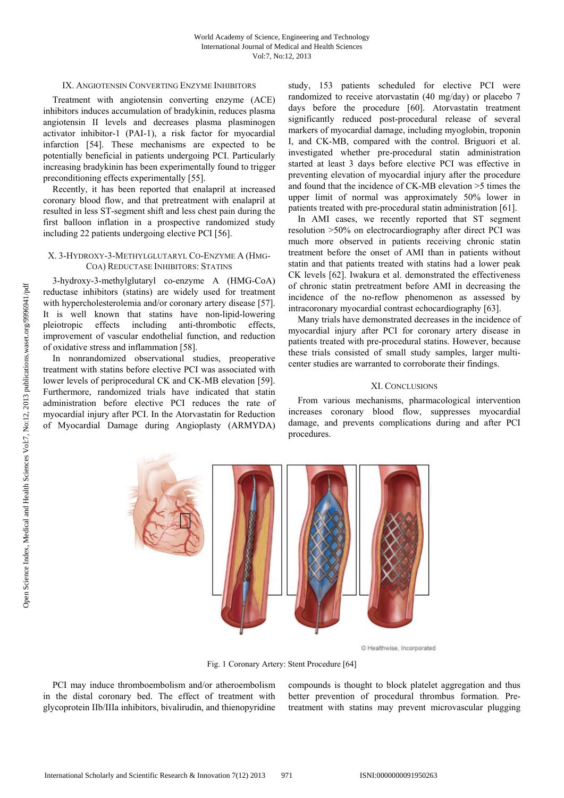## IX. ANGIOTENSIN CONVERTING ENZYME INHIBITORS

Treatment with angiotensin converting enzyme (ACE) inhibitors induces accumulation of bradykinin, reduces plasma angiotensin II levels and decreases plasma plasminogen activator inhibitor-1 (PAI-1), a risk factor for myocardial infarction [54]. These mechanisms are expected to be potentially beneficial in patients undergoing PCI. Particularly increasing bradykinin has been experimentally found to trigger preconditioning effects experimentally [55].

Recently, it has been reported that enalapril at increased coronary blood flow, and that pretreatment with enalapril at resulted in less ST-segment shift and less chest pain during the first balloon inflation in a prospective randomized study including 22 patients undergoing elective PCI [56].

## X. 3-HYDROXY-3-METHYLGLUTARYL CO-ENZYME A (HMG-COA) REDUCTASE INHIBITORS: STATINS

3-hydroxy-3-methylglutaryl co-enzyme A (HMG-CoA) reductase inhibitors (statins) are widely used for treatment with hypercholesterolemia and/or coronary artery disease [57]. It is well known that statins have non-lipid-lowering pleiotropic effects including anti-thrombotic effects, improvement of vascular endothelial function, and reduction of oxidative stress and inflammation [58].

In nonrandomized observational studies, preoperative treatment with statins before elective PCI was associated with lower levels of periprocedural CK and CK-MB elevation [59]. Furthermore, randomized trials have indicated that statin administration before elective PCI reduces the rate of myocardial injury after PCI. In the Atorvastatin for Reduction of Myocardial Damage during Angioplasty (ARMYDA)

study, 153 patients scheduled for elective PCI were randomized to receive atorvastatin (40 mg/day) or placebo 7 days before the procedure [60]. Atorvastatin treatment significantly reduced post-procedural release of several markers of myocardial damage, including myoglobin, troponin I, and CK-MB, compared with the control. Briguori et al. investigated whether pre-procedural statin administration started at least 3 days before elective PCI was effective in preventing elevation of myocardial injury after the procedure and found that the incidence of CK-MB elevation >5 times the upper limit of normal was approximately 50% lower in patients treated with pre-procedural statin administration [61].

In AMI cases, we recently reported that ST segment resolution >50% on electrocardiography after direct PCI was much more observed in patients receiving chronic statin treatment before the onset of AMI than in patients without statin and that patients treated with statins had a lower peak CK levels [62]. Iwakura et al. demonstrated the effectiveness of chronic statin pretreatment before AMI in decreasing the incidence of the no-reflow phenomenon as assessed by intracoronary myocardial contrast echocardiography [63].

Many trials have demonstrated decreases in the incidence of myocardial injury after PCI for coronary artery disease in patients treated with pre-procedural statins. However, because these trials consisted of small study samples, larger multicenter studies are warranted to corroborate their findings.

## XI. CONCLUSIONS

From various mechanisms, pharmacological intervention increases coronary blood flow, suppresses myocardial damage, and prevents complications during and after PCI procedures.



C Healthwise, Incorporated

Fig. 1 Coronary Artery: Stent Procedure [64]

PCI may induce thromboembolism and/or atheroembolism in the distal coronary bed. The effect of treatment with glycoprotein IIb/IIIa inhibitors, bivalirudin, and thienopyridine compounds is thought to block platelet aggregation and thus better prevention of procedural thrombus formation. Pretreatment with statins may prevent microvascular plugging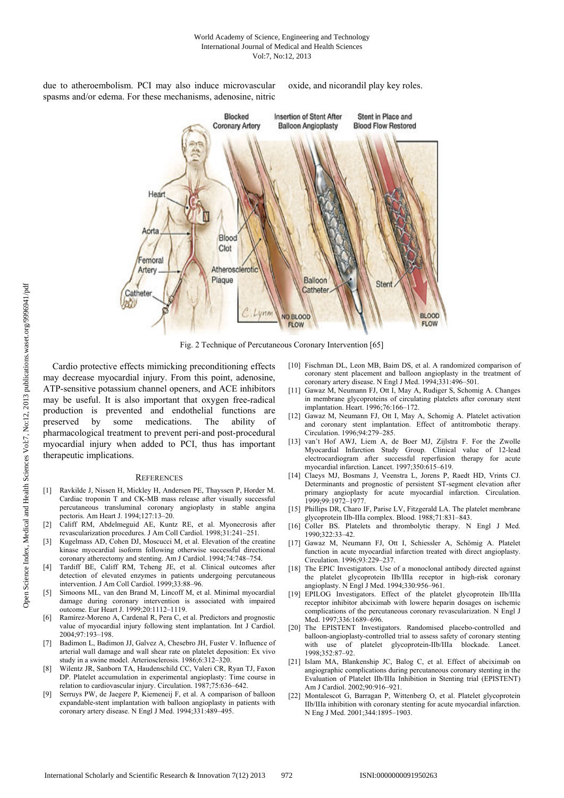due to atheroembolism. PCI may also induce microvascular spasms and/or edema. For these mechanisms, adenosine, nitric

oxide, and nicorandil play key roles.



Fig. 2 Technique of Percutaneous Coronary Intervention [65]

Cardio protective effects mimicking preconditioning effects may decrease myocardial injury. From this point, adenosine, ATP-sensitive potassium channel openers, and ACE inhibitors may be useful. It is also important that oxygen free-radical production is prevented and endothelial functions are preserved by some medications. The ability of pharmacological treatment to prevent peri-and post-procedural myocardial injury when added to PCI, thus has important therapeutic implications.

#### **REFERENCES**

- [1] Ravkilde J, Nissen H, Mickley H, Andersen PE, Thayssen P, Horder M. Cardiac troponin T and CK-MB mass release after visually successful percutaneous transluminal coronary angioplasty in stable angina pectoris. Am Heart J. 1994;127:13–20.
- [2] Califf RM, Abdelmeguid AE, Kuntz RE, et al. Myonecrosis after revascularization procedures. J Am Coll Cardiol. 1998;31:241–251.
- Kugelmass AD, Cohen DJ, Moscucci M, et al. Elevation of the creatine kinase myocardial isoform following otherwise successful directional coronary atherectomy and stenting. Am J Cardiol. 1994;74:748–754.
- [4] Tardiff BE, Califf RM, Tcheng JE, et al. Clinical outcomes after detection of elevated enzymes in patients undergoing percutaneous intervention. J Am Coll Cardiol. 1999;33:88–96.
- Simoons ML, van den Brand M, Lincoff M, et al. Minimal myocardial damage during coronary intervention is associated with impaired outcome. Eur Heart J. 1999;20:1112–1119.
- [6] Ramírez-Moreno A, Cardenal R, Pera C, et al. Predictors and prognostic value of myocardial injury following stent implantation. Int J Cardiol. 2004;97:193–198.
- [7] Badimon L, Badimon JJ, Galvez A, Chesebro JH, Fuster V. Influence of arterial wall damage and wall shear rate on platelet deposition: Ex vivo study in a swine model. Arteriosclerosis. 1986;6:312–320.
- [8] Wilentz JR, Sanborn TA, Haudenschild CC, Valeri CR, Ryan TJ, Faxon DP. Platelet accumulation in experimental angioplasty: Time course in relation to cardiovascular injury. Circulation. 1987;75:636–642.
- Serruys PW, de Jaegere P, Kiemeneij F, et al. A comparison of balloon expandable-stent implantation with balloon angioplasty in patients with coronary artery disease. N Engl J Med. 1994;331:489–495.
- [10] Fischman DL, Leon MB, Baim DS, et al. A randomized comparison of coronary stent placement and balloon angioplasty in the treatment of coronary artery disease. N Engl J Med. 1994;331:496–501.
- [11] Gawaz M, Neumann FJ, Ott I, May A, Rudiger S, Schomig A. Changes in membrane glycoproteins of circulating platelets after coronary stent implantation. Heart. 1996;76:166–172.
- [12] Gawaz M, Neumann FJ, Ott I, May A, Schomig A. Platelet activation and coronary stent implantation. Effect of antitrombotic therapy. Circulation. 1996;94:279–285.
- [13] van't Hof AWJ, Liem A, de Boer MJ, Zijlstra F. For the Zwolle Myocardial Infarction Study Group. Clinical value of 12-lead electrocardiogram after successful reperfusion therapy for acute myocardial infarction. Lancet. 1997;350:615–619.
- [14] Claeys MJ, Bosmans J, Veenstra L, Jorens P, Raedt HD, Vrints CJ. Determinants and prognostic of persistent ST-segment elevation after primary angioplasty for acute myocardial infarction. Circulation. 1999;99:1972–1977.
- [15] Phillips DR, Charo IF, Parise LV, Fitzgerald LA. The platelet membrane glycoprotein IIb-IIIa complex. Blood. 1988;71:831–843.
- [16] Coller BS. Platelets and thrombolytic therapy. N Engl J Med. 1990;322:33–42.
- [17] Gawaz M, Neumann FJ, Ott I, Schiessler A, Schömig A. Platelet function in acute myocardial infarction treated with direct angioplasty. Circulation. 1996;93:229–237.
- [18] The EPIC Investigators. Use of a monoclonal antibody directed against the platelet glycoprotein IIb/IIIa receptor in high-risk coronary angioplasty. N Engl J Med. 1994;330:956–961.
- [19] EPILOG Investigators. Effect of the platelet glycoprotein IIb/IIIa receptor inhibitor abciximab with lowere heparin dosages on ischemic complications of the percutaneous coronary revascularization. N Engl J Med. 1997;336:1689-696.
- [20] The EPISTENT Investigators. Randomised placebo-controlled and balloon-angioplasty-controlled trial to assess safety of coronary stenting with use of platelet glycoprotein-IIb/IIIa blockade. Lancet. 1998;352:87–92.
- [21] Islam MA, Blankenship JC, Balog C, et al. Effect of abciximab on angiographic complications during percutaneous coronary stenting in the Evaluation of Platelet IIb/IIIa Inhibition in Stenting trial (EPISTENT) Am J Cardiol. 2002;90:916–921.
- [22] Montalescot G, Barragan P, Wittenberg O, et al. Platelet glycoprotein IIb/IIIa inhibition with coronary stenting for acute myocardial infarction. N Eng J Med. 2001;344:1895–1903.